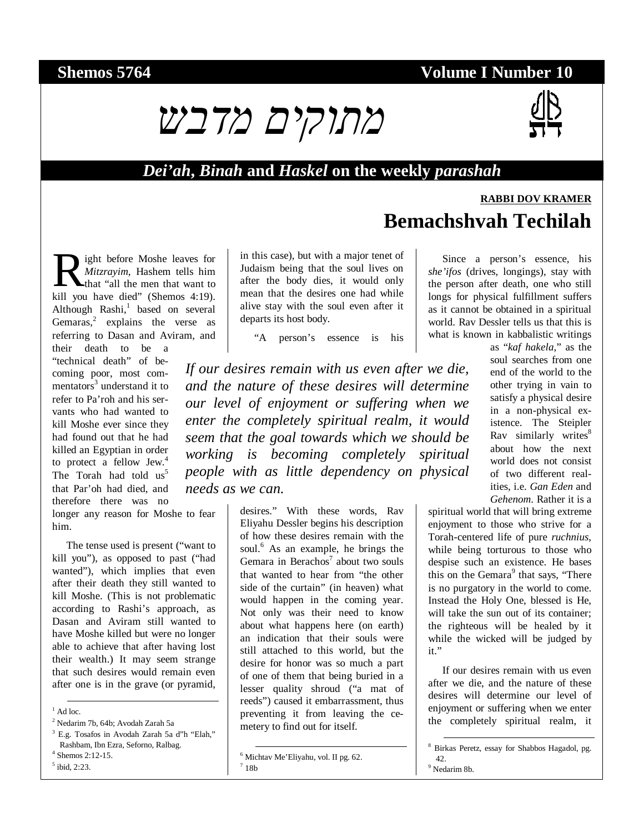### **Shemos 5764 Volume I Number 10**



#### *Dei'ah***,** *Binah* **and** *Haskel* **on the weekly** *parashah*

# **RABBI DOV KRAMER Bemachshvah Techilah**

Since a person's essence, his *she'ifos* (drives, longings), stay with the person after death, one who still longs for physical fulfillment suffers as it cannot be obtained in a spiritual

ight before Moshe leaves for *Mitzrayim*, Hashem tells him that "all the men that want to **R** ight before Moshe leaves for *Mitzrayim*, Hashem tells him that "all the men that want to kill you have died" (Shemos 4:19). Although Rashi,<sup>1</sup> based on several Gemaras, $2$  explains the verse as referring to Dasan and Aviram, and

their death to be a "technical death" of becoming poor, most commentators<sup>3</sup> understand it to refer to Pa'roh and his servants who had wanted to kill Moshe ever since they had found out that he had killed an Egyptian in order to protect a fellow Jew.<sup>4</sup> The Torah had told  $us^5$ that Par'oh had died, and therefore there was no

longer any reason for Moshe to fear him.

The tense used is present ("want to kill you"), as opposed to past ("had wanted"), which implies that even after their death they still wanted to kill Moshe. (This is not problematic according to Rashi's approach, as Dasan and Aviram still wanted to have Moshe killed but were no longer able to achieve that after having lost their wealth.) It may seem strange that such desires would remain even after one is in the grave (or pyramid,

3 E.g. Tosafos in Avodah Zarah 5a d"h "Elah," Rashbam, Ibn Ezra, Seforno, Ralbag. 4 Shemos 2:12-15.

- 
- 5 ibid, 2:23.

in this case), but with a major tenet of Judaism being that the soul lives on after the body dies, it would only mean that the desires one had while alive stay with the soul even after it departs its host body.

"A person's essence is his

*If our desires remain with us even after we die, and the nature of these desires will determine our level of enjoyment or suffering when we enter the completely spiritual realm, it would seem that the goal towards which we should be working is becoming completely spiritual people with as little dependency on physical needs as we can.* 

> desires." With these words, Rav Eliyahu Dessler begins his description of how these desires remain with the soul.<sup>6</sup> As an example, he brings the Gemara in Berachos $7$  about two souls that wanted to hear from "the other side of the curtain" (in heaven) what would happen in the coming year. Not only was their need to know about what happens here (on earth) an indication that their souls were still attached to this world, but the desire for honor was so much a part of one of them that being buried in a lesser quality shroud ("a mat of reeds") caused it embarrassment, thus preventing it from leaving the cemetery to find out for itself.

world. Rav Dessler tells us that this is what is known in kabbalistic writings as "*kaf hakela*," as the soul searches from one end of the world to the other trying in vain to satisfy a physical desire in a non-physical existence. The Steipler Ray similarly writes<sup>8</sup> about how the next world does not consist of two different realities, i.e. *Gan Eden* and

*Gehenom*. Rather it is a

spiritual world that will bring extreme enjoyment to those who strive for a Torah-centered life of pure *ruchnius*, while being torturous to those who despise such an existence. He bases this on the Gemara<sup>9</sup> that says, "There" is no purgatory in the world to come. Instead the Holy One, blessed is He, will take the sun out of its container; the righteous will be healed by it while the wicked will be judged by it."

If our desires remain with us even after we die, and the nature of these desires will determine our level of enjoyment or suffering when we enter the completely spiritual realm, it

 8 Birkas Peretz, essay for Shabbos Hagadol, pg. 42.<br><sup>9</sup> Nedarim 8b.

 $\frac{1}{1}$  Ad loc.

<sup>2</sup> Nedarim 7b, 64b; Avodah Zarah 5a

 <sup>6</sup> Michtav Me'Eliyahu, vol. II pg. 62.  $^7$  18b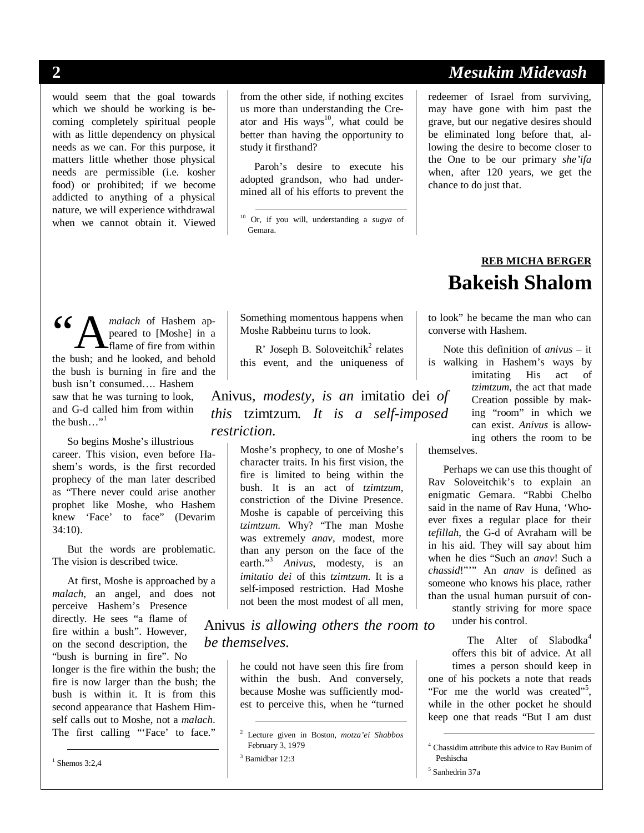would seem that the goal towards which we should be working is becoming completely spiritual people with as little dependency on physical needs as we can. For this purpose, it matters little whether those physical needs are permissible (i.e. kosher food) or prohibited; if we become addicted to anything of a physical nature, we will experience withdrawal when we cannot obtain it. Viewed from the other side, if nothing excites us more than understanding the Creator and His ways<sup>10</sup>, what could be better than having the opportunity to study it firsthand?

Paroh's desire to execute his adopted grandson, who had undermined all of his efforts to prevent the

*malach* of Hashem appeared to [Moshe] in a flame of fire from within 66 Manualach of Hashem appeared to [Moshe] in a flame of fire from within the bush; and he looked, and behold the bush is burning in fire and the bush isn't consumed…. Hashem saw that he was turning to look, and G-d called him from within the bush $\ldots$ <sup>"1</sup>

So begins Moshe's illustrious career. This vision, even before Hashem's words, is the first recorded prophecy of the man later described as "There never could arise another prophet like Moshe, who Hashem knew 'Face' to face" (Devarim 34:10).

But the words are problematic. The vision is described twice.

At first, Moshe is approached by a *malach*, an angel, and does not perceive Hashem's Presence directly. He sees "a flame of fire within a bush". However, on the second description, the "bush is burning in fire". No longer is the fire within the bush; the fire is now larger than the bush; the bush is within it. It is from this second appearance that Hashem Himself calls out to Moshe, not a *malach*. The first calling "'Face' to face."

1 Shemos 3:2,4

Something momentous happens when Moshe Rabbeinu turns to look.

R' Joseph B. Soloveitchi $k^2$  relates this event, and the uniqueness of

Anivus*, modesty, is an* imitatio dei *of this* tzimtzum*. It is a self-imposed restriction.* 

> Moshe's prophecy, to one of Moshe's character traits. In his first vision, the fire is limited to being within the bush. It is an act of *tzimtzum*, constriction of the Divine Presence. Moshe is capable of perceiving this *tzimtzum*. Why? "The man Moshe was extremely *anav*, modest, more than any person on the face of the earth."<sup>3</sup> *Anivus*, modesty, is an *imitatio dei* of this *tzimtzum*. It is a self-imposed restriction. Had Moshe not been the most modest of all men,

Anivus *is allowing others the room to be themselves.* 

> he could not have seen this fire from within the bush. And conversely, because Moshe was sufficiently modest to perceive this, when he "turned

### **2** *Mesukim Midevash*

redeemer of Israel from surviving, may have gone with him past the grave, but our negative desires should be eliminated long before that, allowing the desire to become closer to the One to be our primary *she'ifa* when, after 120 years, we get the chance to do just that.

# **REB MICHA BERGER Bakeish Shalom**

to look" he became the man who can converse with Hashem.

Note this definition of *anivus* – it is walking in Hashem's ways by imitating His act of *tzimtzum*, the act that made Creation possible by making "room" in which we can exist. *Anivus* is allowing others the room to be

themselves.

Perhaps we can use this thought of Rav Soloveitchik's to explain an enigmatic Gemara. "Rabbi Chelbo said in the name of Rav Huna, 'Whoever fixes a regular place for their *tefillah*, the G-d of Avraham will be in his aid. They will say about him when he dies "Such an *anav*! Such a *chassid*!"'" An *anav* is defined as someone who knows his place, rather than the usual human pursuit of constantly striving for more space under his control.

The Alter of Slabodka<sup>4</sup> offers this bit of advice. At all times a person should keep in one of his pockets a note that reads "For me the world was created"<sup>5</sup>, while in the other pocket he should keep one that reads "But I am dust

 4 Chassidim attribute this advice to Rav Bunim of Peshischa

 <sup>10</sup> Or, if you will, understanding a *sugya* of Gemara.

 <sup>2</sup> Lecture given in Boston, *motza'ei Shabbos* February 3, 1979

<sup>3</sup> Bamidbar 12:3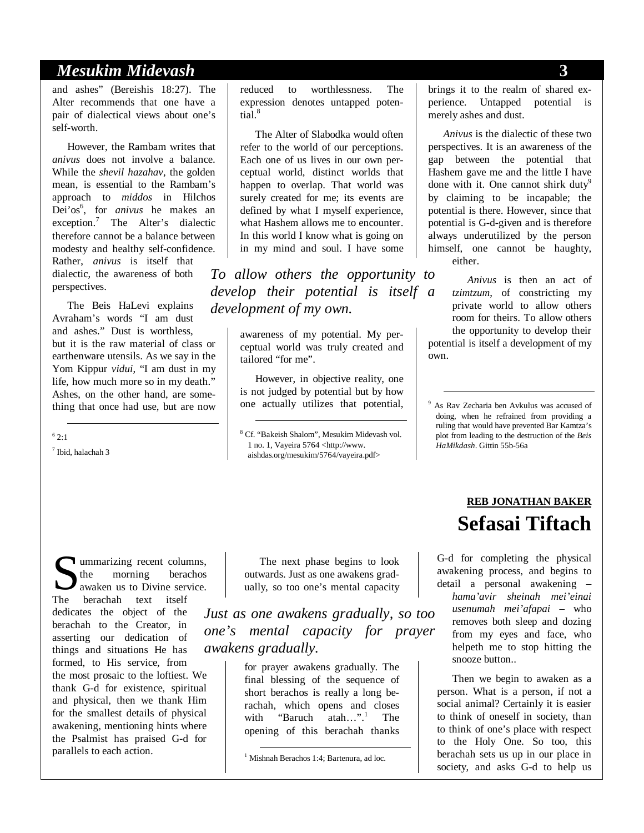#### *Mesukim Midevash* **3**

and ashes" (Bereishis 18:27). The Alter recommends that one have a pair of dialectical views about one's self-worth.

However, the Rambam writes that *anivus* does not involve a balance. While the *shevil hazahav,* the golden mean, is essential to the Rambam's approach to *middos* in Hilchos Dei'os<sup>6</sup>, for *anivus* he makes an exception.<sup>7</sup> The Alter's dialectic therefore cannot be a balance between modesty and healthy self-confidence. Rather, *anivus* is itself that dialectic, the awareness of both perspectives.

The Beis HaLevi explains Avraham's words "I am dust and ashes." Dust is worthless, but it is the raw material of class or earthenware utensils. As we say in the Yom Kippur *vidui*, "I am dust in my life, how much more so in my death." Ashes, on the other hand, are something that once had use, but are now

 $6$  2:1

7 Ibid, halachah 3

reduced to worthlessness. The expression denotes untapped potential.<sup>8</sup>

The Alter of Slabodka would often refer to the world of our perceptions. Each one of us lives in our own perceptual world, distinct worlds that happen to overlap. That world was surely created for me; its events are defined by what I myself experience, what Hashem allows me to encounter. In this world I know what is going on in my mind and soul. I have some

*To allow others the opportunity to develop their potential is itself a development of my own.* 

> awareness of my potential. My perceptual world was truly created and tailored "for me".

However, in objective reality, one is not judged by potential but by how one actually utilizes that potential,

brings it to the realm of shared experience. Untapped potential is merely ashes and dust.

*Anivus* is the dialectic of these two perspectives. It is an awareness of the gap between the potential that Hashem gave me and the little I have done with it. One cannot shirk duty<sup>9</sup> by claiming to be incapable; the potential is there. However, since that potential is G-d-given and is therefore always underutilized by the person himself, one cannot be haughty, either.

*Anivus* is then an act of *tzimtzum*, of constricting my private world to allow others room for theirs. To allow others the opportunity to develop their potential is itself a development of my own.

 9 As Rav Zecharia ben Avkulus was accused of doing, when he refrained from providing a ruling that would have prevented Bar Kamtza's plot from leading to the destruction of the *Beis HaMikdash*. Gittin 55b-56a

ummarizing recent columns, the morning berachos awaken us to Divine service. Summarizing recent colur<br>the morning berach<br>The berachah text itself dedicates the object of the berachah to the Creator, in asserting our dedication of things and situations He has formed, to His service, from the most prosaic to the loftiest. We thank G-d for existence, spiritual and physical, then we thank Him for the smallest details of physical awakening, mentioning hints where the Psalmist has praised G-d for parallels to each action.

The next phase begins to look outwards. Just as one awakens gradually, so too one's mental capacity

*Just as one awakens gradually, so too one's mental capacity for prayer awakens gradually.* 

> for prayer awakens gradually. The final blessing of the sequence of short berachos is really a long berachah, which opens and closes with "Baruch atah...".<sup>1</sup> The opening of this berachah thanks

## **REB JONATHAN BAKER Sefasai Tiftach**

G-d for completing the physical awakening process, and begins to detail a personal awakening – *hama'avir sheinah mei'einai usenumah mei'afapai* – who removes both sleep and dozing from my eyes and face, who helpeth me to stop hitting the snooze button..

Then we begin to awaken as a person. What is a person, if not a social animal? Certainly it is easier to think of oneself in society, than to think of one's place with respect to the Holy One. So too, this berachah sets us up in our place in society, and asks G-d to help us

<sup>&</sup>lt;sup>8</sup> Cf. "Bakeish Shalom", Mesukim Midevash vol. 1 no. 1, Vayeira 5764 <http://www. aishdas.org/mesukim/5764/vayeira.pdf>

 <sup>1</sup> Mishnah Berachos 1:4; Bartenura, ad loc.